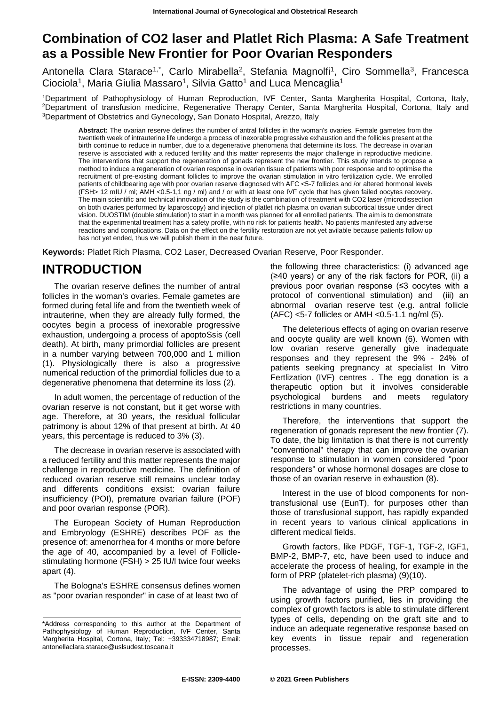### **Combination of CO2 laser and Platlet Rich Plasma: A Safe Treatment as a Possible New Frontier for Poor Ovarian Responders**

Antonella Clara Starace<sup>1,\*</sup>, Carlo Mirabella<sup>2</sup>, Stefania Magnolfi<sup>1</sup>, Ciro Sommella<sup>3</sup>, Francesca Ciociola<sup>1</sup>, Maria Giulia Massaro<sup>1</sup>, Silvia Gatto<sup>1</sup> and Luca Mencaglia<sup>1</sup>

<sup>1</sup>Department of Pathophysiology of Human Reproduction, IVF Center, Santa Margherita Hospital, Cortona, Italy, <sup>2</sup>Department of transfusion medicine, Regenerative Therapy Center, Santa Margherita Hospital, Cortona, Italy and <sup>3</sup>Department of Obstetrics and Gynecology, San Donato Hospital, Arezzo, Italy

**Abstract:** The ovarian reserve defines the number of antral follicles in the woman's ovaries. Female gametes from the twentieth week of intrauterine life undergo a process of inexorable progressive exhaustion and the follicles present at the birth continue to reduce in number, due to a degenerative phenomena that determine its loss. The decrease in ovarian reserve is associated with a reduced fertility and this matter represents the major challenge in reproductive medicine. The interventions that support the regeneration of gonads represent the new frontier. This study intends to propose a method to induce a regeneration of ovarian response in ovarian tissue of patients with poor response and to optimise the recruitment of pre-existing dormant follicles to improve the ovarian stimulation in vitro fertilization cycle. We enrolled patients of childbearing age with poor ovarian reserve diagnosed with AFC <5-7 follicles and /or altered hormonal levels (FSH> 12 mIU / ml; AMH <0.5-1,1 ng / ml) and / or with at least one IVF cycle that has given failed oocytes recovery. The main scientific and technical innovation of the study is the combination of treatment with CO2 laser (microdissection on both ovaries performed by laparoscopy) and injection of platlet rich plasma on ovarian subcortical tissue under direct vision. DUOSTIM (double stimulation) to start in a month was planned for all enrolled patients. The aim is to demonstrate that the experimental treatment has a safety profile, with no risk for patients health. No patients manifested any adverse reactions and complications. Data on the effect on the fertility restoration are not yet avilable because patients follow up has not yet ended, thus we will publish them in the near future.

**Keywords:** Platlet Rich Plasma, CO2 Laser, Decreased Ovarian Reserve, Poor Responder.

# **INTRODUCTION**

The ovarian reserve defines the number of antral follicles in the woman's ovaries. Female gametes are formed during fetal life and from the twentieth week of intrauterine, when they are already fully formed, the oocytes begin a process of inexorable progressive exhaustion, undergoing a process of apoptoSsis (cell death). At birth, many primordial follicles are present in a number varying between 700,000 and 1 million (1). Physiologically there is also a progressive numerical reduction of the primordial follicles due to a degenerative phenomena that determine its loss (2).

In adult women, the percentage of reduction of the ovarian reserve is not constant, but it get worse with age. Therefore, at 30 years, the residual follicular patrimony is about 12% of that present at birth. At 40 years, this percentage is reduced to 3% (3).

The decrease in ovarian reserve is associated with a reduced fertility and this matter represents the major challenge in reproductive medicine. The definition of reduced ovarian reserve still remains unclear today and differents conditions exsist: ovarian failure insufficiency (POI), premature ovarian failure (POF) and poor ovarian response (POR).

The European Society of Human Reproduction and Embryology (ESHRE) describes POF as the presence of: amenorrhea for 4 months or more before the age of 40, accompanied by a level of Folliclestimulating hormone (FSH) > 25 IU/l twice four weeks apart (4).

The Bologna's ESHRE consensus defines women as "poor ovarian responder" in case of at least two of

the following three characteristics: (i) advanced age (≥40 years) or any of the risk factors for POR, (ii) a previous poor ovarian response (≤3 oocytes with a protocol of conventional stimulation) and (iii) an abnormal ovarian reserve test (e.g. antral follicle (AFC) <5-7 follicles or AMH <0.5-1.1 ng/ml (5).

The deleterious effects of aging on ovarian reserve and oocyte quality are well known (6). Women with low ovarian reserve generally give inadequate responses and they represent the 9% - 24% of patients seeking pregnancy at specialist In Vitro Fertlization (IVF) centres . The egg donation is a therapeutic option but it involves considerable psychological burdens and meets regulatory restrictions in many countries.

Therefore, the interventions that support the regeneration of gonads represent the new frontier (7). To date, the big limitation is that there is not currently "conventional" therapy that can improve the ovarian response to stimulation in women considered "poor responders" or whose hormonal dosages are close to those of an ovarian reserve in exhaustion (8).

Interest in the use of blood components for nontransfusional use (EunT), for purposes other than those of transfusional support, has rapidly expanded in recent years to various clinical applications in different medical fields.

Growth factors, like PDGF, TGF-1, TGF-2, IGF1, BMP-2, BMP-7, etc, have been used to induce and accelerate the process of healing, for example in the form of PRP (platelet-rich plasma) (9)(10).

The advantage of using the PRP compared to using growth factors purified, lies in providing the complex of growth factors is able to stimulate different types of cells, depending on the graft site and to induce an adequate regenerative response based on key events in tissue repair and regeneration processes.

<sup>\*</sup>Address corresponding to this author at the Department of Pathophysiology of Human Reproduction, IVF Center, Santa Margherita Hospital, Cortona, Italy; Tel: +393334718987; Email: antonellaclara.starace@uslsudest.toscana.it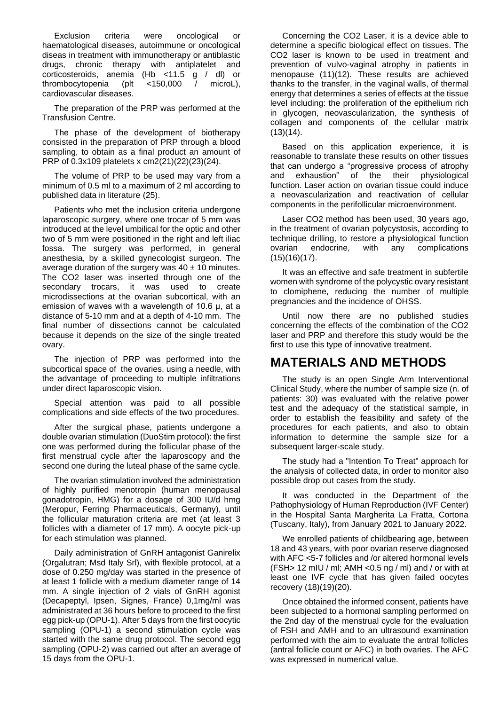Exclusion criteria were oncological or haematological diseases, autoimmune or oncological diseas in treatment with immunotherapy or antiblastic drugs, chronic therapy with antiplatelet and corticosteroids, anemia (Hb <11.5 g / dl) or thrombocytopenia (plt <150,000 / microL), cardiovascular diseases.

The preparation of the PRP was performed at the Transfusion Centre.

The phase of the development of biotherapy consisted in the preparation of PRP through a blood sampling, to obtain as a final product an amount of PRP of 0.3x109 platelets x cm2(21)(22)(23)(24).

The volume of PRP to be used may vary from a minimum of 0.5 ml to a maximum of 2 ml according to published data in literature (25).

Patients who met the inclusion criteria undergone laparoscopic surgery, where one trocar of 5 mm was introduced at the level umbilical for the optic and other two of 5 mm were positioned in the right and left iliac fossa. The surgery was performed, in general anesthesia, by a skilled gynecologist surgeon. The average duration of the surgery was  $40 \pm 10$  minutes. The CO2 laser was inserted through one of the secondary trocars, it was used to create microdissections at the ovarian subcortical, with an emission of waves with a wavelength of 10.6 μ, at a distance of 5-10 mm and at a depth of 4-10 mm. The final number of dissections cannot be calculated because it depends on the size of the single treated ovary.

The injection of PRP was performed into the subcortical space of the ovaries, using a needle, with the advantage of proceeding to multiple infiltrations under direct laparoscopic vision.

Special attention was paid to all possible complications and side effects of the two procedures.

After the surgical phase, patients undergone a double ovarian stimulation (DuoStim protocol): the first one was performed during the follicular phase of the first menstrual cycle after the laparoscopy and the second one during the luteal phase of the same cycle.

The ovarian stimulation involved the administration of highly purified menotropin (human menopausal gonadotropin, HMG) for a dosage of 300 IU/d hmg (Meropur, Ferring Pharmaceuticals, Germany), until the follicular maturation criteria are met (at least 3 follicles with a diameter of 17 mm). A oocyte pick-up for each stimulation was planned.

Daily administration of GnRH antagonist Ganirelix (Orgalutran; Msd Italy Srl), with flexible protocol, at a dose of 0.250 mg/day was started in the presence of at least 1 follicle with a medium diameter range of 14 mm. A single injection of 2 vials of GnRH agonist (Decapeptyl, Ipsen, Signes, France) 0,1mg/ml was administrated at 36 hours before to proceed to the first egg pick-up (OPU-1). After 5 days from the first oocytic sampling (OPU-1) a second stimulation cycle was started with the same drug protocol. The second egg sampling (OPU-2) was carried out after an average of 15 days from the OPU-1.

Concerning the CO2 Laser, it is a device able to determine a specific biological effect on tissues. The CO2 laser is known to be used in treatment and prevention of vulvo-vaginal atrophy in patients in menopause (11)(12). These results are achieved thanks to the transfer, in the vaginal walls, of thermal energy that determines a series of effects at the tissue level including: the proliferation of the epithelium rich in glycogen, neovascularization, the synthesis of collagen and components of the cellular matrix  $(13)(14)$ .

Based on this application experience, it is reasonable to translate these results on other tissues that can undergo a "progressive process of atrophy and exhaustion" of the their physiological function. Laser action on ovarian tissue could induce a neovascularization and reactivation of cellular components in the perifollicular microenvironment.

Laser CO2 method has been used, 30 years ago, in the treatment of ovarian polycystosis, according to technique drilling, to restore a physiological function ovarian endocrine, with any complications (15)(16)(17).

It was an effective and safe treatment in subfertile women with syndrome of the polycystic ovary resistant to clomiphene, reducing the number of multiple pregnancies and the incidence of OHSS.

Until now there are no published studies concerning the effects of the combination of the CO2 laser and PRP and therefore this study would be the first to use this type of innovative treatment.

### **MATERIALS AND METHODS**

The study is an open Single Arm Interventional Clinical Study, where the number of sample size (n. of patients: 30) was evaluated with the relative power test and the adequacy of the statistical sample, in order to establish the feasibility and safety of the procedures for each patients, and also to obtain information to determine the sample size for a subsequent larger-scale study.

The study had a "Intention To Treat" approach for the analysis of collected data, in order to monitor also possible drop out cases from the study.

It was conducted in the Department of the Pathophysiology of Human Reproduction (IVF Center) in the Hospital Santa Margherita La Fratta, Cortona (Tuscany, Italy), from January 2021 to January 2022.

We enrolled patients of childbearing age, between 18 and 43 years, with poor ovarian reserve diagnosed with AFC <5-7 follicles and /or altered hormonal levels (FSH > 12 mIU / ml; AMH < $0.5$  ng / ml) and / or with at least one IVF cycle that has given failed oocytes recovery (18)(19)(20).

Once obtained the informed consent, patients have been subjected to a hormonal sampling performed on the 2nd day of the menstrual cycle for the evaluation of FSH and AMH and to an ultrasound examination performed with the aim to evaluate the antral follicles (antral follicle count or AFC) in both ovaries. The AFC was expressed in numerical value.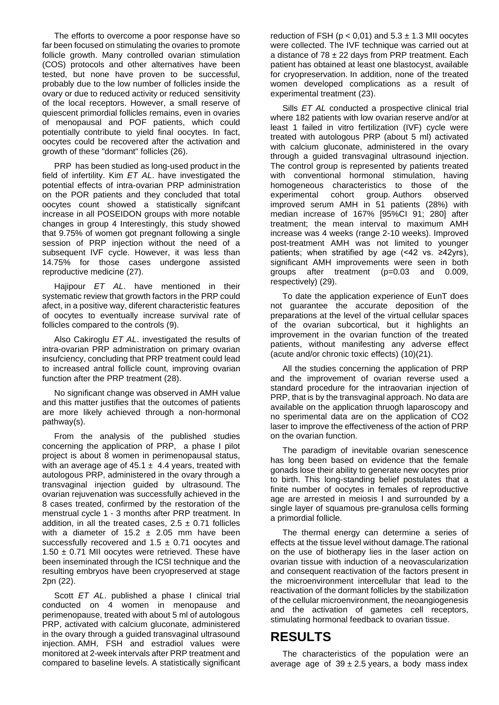The efforts to overcome a poor response have so far been focused on stimulating the ovaries to promote follicle growth. Many controlled ovarian stimulation (COS) protocols and other alternatives have been tested, but none have proven to be successful, probably due to the low number of follicles inside the ovary or due to reduced activity or reduced sensitivity of the local receptors. However, a small reserve of quiescent primordial follicles remains, even in ovaries of menopausal and POF patients, which could potentially contribute to yield final oocytes. In fact, oocytes could be recovered after the activation and growth of these "dormant" follicles (26).

PRP has been studied as long-used product in the field of infertility. Kim *ET AL*. have investigated the potential effects of intra-ovarian PRP administration on the POR patients and they concluded that total oocytes count showed a statistically signifcant increase in all POSEIDON groups with more notable changes in group 4 Interestingly, this study showed that 9.75% of women got pregnant following a single session of PRP injection without the need of a subsequent IVF cycle. However, it was less than 14.75% for those cases undergone assisted reproductive medicine (27).

Hajipour *ET AL*. have mentioned in their systematic review that growth factors in the PRP could afect, in a positive way, diferent characteristic features of oocytes to eventually increase survival rate of follicles compared to the controls (9).

Also Cakiroglu *ET AL*. investigated the results of intra-ovarian PRP administration on primary ovarian insufciency, concluding that PRP treatment could lead to increased antral follicle count, improving ovarian function after the PRP treatment (28).

No significant change was observed in AMH value and this matter justifies that the outcomes of patients are more likely achieved through a non-hormonal pathway(s).

From the analysis of the published studies concerning the application of PRP, a phase I pilot project is about 8 women in perimenopausal status, with an average age of  $45.1 \pm 4.4$  years, treated with autologous PRP, administered in the ovary through a transvaginal injection guided by ultrasound. The ovarian rejuvenation was successfully achieved in the 8 cases treated, confirmed by the restoration of the menstrual cycle 1 - 3 months after PRP treatment. In addition, in all the treated cases,  $2.5 \pm 0.71$  follicles with a diameter of 15.2  $\pm$  2.05 mm have been successfully recovered and  $1.5 \pm 0.71$  oocytes and  $1.50 \pm 0.71$  MII oocytes were retrieved. These have been inseminated through the ICSI technique and the resulting embryos have been cryopreserved at stage 2pn (22).

Scott *ET AL*. published a phase I clinical trial conducted on 4 women in menopause and perimenopause, treated with about 5 ml of autologous PRP, activated with calcium gluconate, administered in the ovary through a guided transvaginal ultrasound injection. AMH, FSH and estradiol values were monitored at 2-week intervals after PRP treatment and compared to baseline levels. A statistically significant

reduction of FSH ( $p < 0.01$ ) and  $5.3 \pm 1.3$  MII oocytes were collected. The IVF technique was carried out at a distance of  $78 \pm 22$  days from PRP treatment. Each patient has obtained at least one blastocyst, available for cryopreservation. In addition, none of the treated women developed complications as a result of experimental treatment (23).

Sills *ET AL* conducted a prospective clinical trial where 182 patients with low ovarian reserve and/or at least 1 failed in vitro fertilization (IVF) cycle were treated with autologous PRP (about 5 ml) activated with calcium gluconate, administered in the ovary through a guided transvaginal ultrasound injection. The control group is represented by patients treated with conventional hormonal stimulation, having homogeneous characteristics to those of the experimental cohort group. Authors observed improved serum AMH in 51 patients (28%) with median increase of 167% [95%CI 91; 280] after treatment; the mean interval to maximum AMH increase was 4 weeks (range 2-10 weeks). Improved post-treatment AMH was not limited to younger patients; when stratified by age (<42 vs. ≥42yrs), significant AMH improvements were seen in both groups after treatment (p=0.03 and 0.009, respectively) (29).

To date the application experience of EunT does not guarantee the accurate deposition of the preparations at the level of the virtual cellular spaces of the ovarian subcortical, but it highlights an improvement in the ovarian function of the treated patients, without manifesting any adverse effect (acute and/or chronic toxic effects) (10)(21).

All the studies concerning the application of PRP and the improvement of ovarian reverse used a standard procedure for the intraovarian injection of PRP, that is by the transvaginal approach. No data are available on the application thruogh laparoscopy and no sperimental data are on the application of CO2 laser to improve the effectiveness of the action of PRP on the ovarian function.

The paradigm of inevitable ovarian senescence has long been based on evidence that the female gonads lose their ability to generate new oocytes prior to birth. This long-standing belief postulates that a finite number of oocytes in females of reproductive age are arrested in meiosis I and surrounded by a single layer of squamous pre-granulosa cells forming a primordial follicle.

The thermal energy can determine a series of effects at the tissue level without damage.The rational on the use of biotherapy lies in the laser action on ovarian tissue with induction of a neovascularization and consequent reactivation of the factors present in the microenvironment intercellular that lead to the reactivation of the dormant follicles by the stabilization of the cellular microenvironment, the neoangiogenesis and the activation of gametes cell receptors, stimulating hormonal feedback to ovarian tissue.

# **RESULTS**

The characteristics of the population were an average age of  $39 \pm 2.5$  years, a body mass index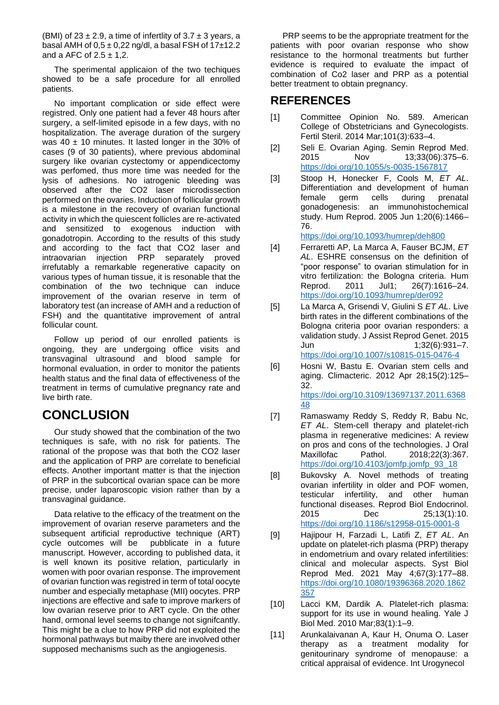(BMI) of  $23 \pm 2.9$ , a time of infertlity of  $3.7 \pm 3$  years, a basal AMH of  $0.5 \pm 0.22$  ng/dl, a basal FSH of 17 $\pm$ 12.2 and a AFC of  $2.5 \pm 1.2$ .

The sperimental applicaion of the two techiques showed to be a safe procedure for all enrolled patients.

No important complication or side effect were registred. Only one patient had a fever 48 hours after surgery, a self-limited episode in a few days, with no hospitalization. The average duration of the surgery was  $40 \pm 10$  minutes. It lasted longer in the 30% of cases (9 of 30 patients), where previous abdominal surgery like ovarian cystectomy or appendicectomy was perfomed, thus more time was needed for the lysis of adhesions. No iatrogenic bleeding was observed after the CO2 laser microdissection performed on the ovaries. Induction of follicular growth is a milestone in the recovery of ovarian functional activity in which the quiescent follicles are re-activated and sensitized to exogenous induction with gonadotropin. According to the results of this study and according to the fact that CO2 laser and intraovarian injection PRP separately proved irrefutably a remarkable regenerative capacity on various types of human tissue, it is resonable that the combination of the two technique can induce improvement of the ovarian reserve in term of laboratory test (an increase of AMH and a reduction of FSH) and the quantitative improvement of antral follicular count.

Follow up period of our enrolled patients is ongoing, they are undergoing office visits and transvaginal ultrasound and blood sample for hormonal evaluation, in order to monitor the patients health status and the final data of effectiveness of the treatment in terms of cumulative pregnancy rate and live birth rate.

# **CONCLUSION**

Our study showed that the combination of the two techniques is safe, with no risk for patients. The rational of the propose was that both the CO2 laser and the application of PRP are correlate to beneficial effects. Another important matter is that the injection of PRP in the subcortical ovarian space can be more precise, under laparoscopic vision rather than by a transvaginal guidance.

Data relative to the efficacy of the treatment on the improvement of ovarian reserve parameters and the subsequent artificial reproductive technique (ART) cycle outcomes will be pubblicate in a future manuscript. However, according to published data, it is well known its positive relation, particularly in women with poor ovarian response. The improvement of ovarian function was registred in term of total oocyte number and especially metaphase (MII) oocytes. PRP injections are effective and safe to improve markers of low ovarian reserve prior to ART cycle. On the other hand, ormonal level seems to change not signifcantly. This might be a clue to how PRP did not exploited the hormonal pathways but maiby there are involved other supposed mechanisms such as the angiogenesis.

PRP seems to be the appropriate treatment for the patients with poor ovarian response who show resistance to the hormonal treatments but further evidence is required to evaluate the impact of combination of Co2 laser and PRP as a potential better treatment to obtain pregnancy.

#### **REFERENCES**

- [1] Committee Opinion No. 589. American College of Obstetricians and Gynecologists. Fertil Steril. 2014 Mar;101(3):633–4.
- [2] Seli E. Ovarian Aging. Semin Reprod Med. 2015 Nov 13;33(06):375–6. <https://doi.org/10.1055/s-0035-1567817>
- [3] Stoop H, Honecker F, Cools M, *ET AL*. Differentiation and development of human female germ cells during prenatal gonadogenesis: an immunohistochemical study. Hum Reprod. 2005 Jun 1;20(6):1466– 76.

#### <https://doi.org/10.1093/humrep/deh800>

- [4] Ferraretti AP, La Marca A, Fauser BCJM, *ET AL*. ESHRE consensus on the definition of "poor response" to ovarian stimulation for in vitro fertilization: the Bologna criteria. Hum Reprod. 2011 Jul1; 26(7):1616–24. <https://doi.org/10.1093/humrep/der092>
- [5] La Marca A, Grisendi V, Giulini S *ET AL*. Live birth rates in the different combinations of the Bologna criteria poor ovarian responders: a validation study. J Assist Reprod Genet. 2015 Jun 1;32(6):931–7. <https://doi.org/10.1007/s10815-015-0476-4>
- [6] Hosni W, Bastu E. Ovarian stem cells and aging. Climacteric. 2012 Apr 28;15(2):125– 32. [https://doi.org/10.3109/13697137.2011.6368](https://doi.org/10.3109/13697137.2011.636848) [48](https://doi.org/10.3109/13697137.2011.636848)
- [7] Ramaswamy Reddy S, Reddy R, Babu Nc, *ET AL*. Stem-cell therapy and platelet-rich plasma in regenerative medicines: A review on pros and cons of the technologies. J Oral Maxillofac Pathol. 2018;22(3):367. [https://doi.org/10.4103/jomfp.jomfp\\_93\\_18](https://doi.org/10.4103/jomfp.jomfp_93_18)
- [8] Bukovsky A. Novel methods of treating ovarian infertility in older and POF women, testicular infertility, and other human functional diseases. Reprod Biol Endocrinol. 2015 Dec 25;13(1):10. <https://doi.org/10.1186/s12958-015-0001-8>
- [9] Hajipour H, Farzadi L, Latifi Z, *ET AL*. An update on platelet-rich plasma (PRP) therapy in endometrium and ovary related infertilities: clinical and molecular aspects. Syst Biol Reprod Med. 2021 May 4;67(3):177–88. [https://doi.org/10.1080/19396368.2020.1862](https://doi.org/10.1080/19396368.2020.1862357) [357](https://doi.org/10.1080/19396368.2020.1862357)
- [10] Lacci KM, Dardik A. Platelet-rich plasma: support for its use in wound healing. Yale J Biol Med. 2010 Mar;83(1):1–9.
- [11] Arunkalaivanan A, Kaur H, Onuma O. Laser therapy as a treatment modality for genitourinary syndrome of menopause: a critical appraisal of evidence. Int Urogynecol